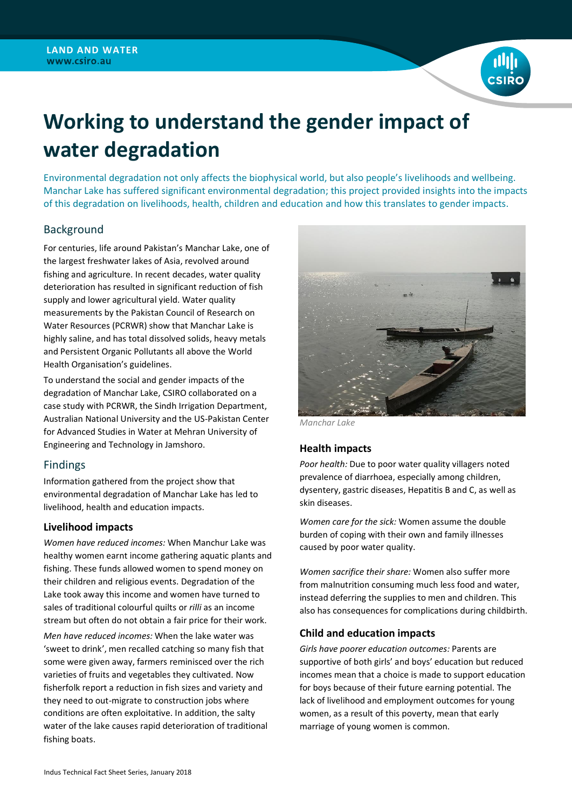

# **Working to understand the gender impact of water degradation**

Environmental degradation not only affects the biophysical world, but also people's livelihoods and wellbeing. Manchar Lake has suffered significant environmental degradation; this project provided insights into the impacts of this degradation on livelihoods, health, children and education and how this translates to gender impacts.

# Background

For centuries, life around Pakistan's Manchar Lake, one of the largest freshwater lakes of Asia, revolved around fishing and agriculture. In recent decades, water quality deterioration has resulted in significant reduction of fish supply and lower agricultural yield. Water quality measurements by the Pakistan Council of Research on Water Resources (PCRWR) show that Manchar Lake is highly saline, and has total dissolved solids, heavy metals and Persistent Organic Pollutants all above the World Health Organisation's guidelines.

To understand the social and gender impacts of the degradation of Manchar Lake, CSIRO collaborated on a case study with PCRWR, the Sindh Irrigation Department, Australian National University and the US-Pakistan Center for Advanced Studies in Water at Mehran University of Engineering and Technology in Jamshoro.

## Findings

Information gathered from the project show that environmental degradation of Manchar Lake has led to livelihood, health and education impacts.

## **Livelihood impacts**

*Women have reduced incomes:* When Manchur Lake was healthy women earnt income gathering aquatic plants and fishing. These funds allowed women to spend money on their children and religious events. Degradation of the Lake took away this income and women have turned to sales of traditional colourful quilts or *rilli* as an income stream but often do not obtain a fair price for their work.

*Men have reduced incomes:* When the lake water was 'sweet to drink', men recalled catching so many fish that some were given away, farmers reminisced over the rich varieties of fruits and vegetables they cultivated. Now fisherfolk report a reduction in fish sizes and variety and they need to out-migrate to construction jobs where conditions are often exploitative. In addition, the salty water of the lake causes rapid deterioration of traditional fishing boats.



*Manchar Lake*

## **Health impacts**

*Poor health:* Due to poor water quality villagers noted prevalence of diarrhoea, especially among children, dysentery, gastric diseases, Hepatitis B and C, as well as skin diseases.

*Women care for the sick:* Women assume the double burden of coping with their own and family illnesses caused by poor water quality.

*Women sacrifice their share:* Women also suffer more from malnutrition consuming much less food and water, instead deferring the supplies to men and children. This also has consequences for complications during childbirth.

## **Child and education impacts**

*Girls have poorer education outcomes:* Parents are supportive of both girls' and boys' education but reduced incomes mean that a choice is made to support education for boys because of their future earning potential. The lack of livelihood and employment outcomes for young women, as a result of this poverty, mean that early marriage of young women is common.